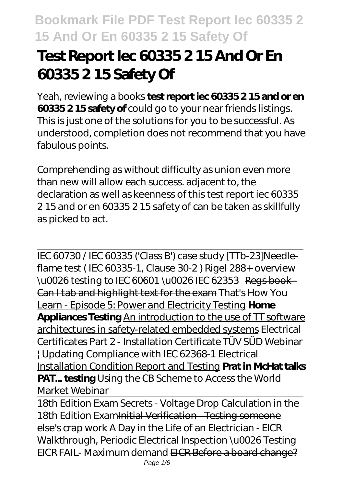# **Test Report Iec 60335 2 15 And Or En 60335 2 15 Safety Of**

Yeah, reviewing a books **test report iec 60335 2 15 and or en 60335 2 15 safety of** could go to your near friends listings. This is just one of the solutions for you to be successful. As understood, completion does not recommend that you have fabulous points.

Comprehending as without difficulty as union even more than new will allow each success. adjacent to, the declaration as well as keenness of this test report iec 60335 2 15 and or en 60335 2 15 safety of can be taken as skillfully as picked to act.

IEC 60730 / IEC 60335 ('Class B') case study [TTb-23]*Needleflame test ( IEC 60335-1, Clause 30-2 )* Rigel 288+ overview \u0026 testing to IEC 60601 \u0026 IEC 62353 Regs book-Can I tab and highlight text for the exam That's How You Learn - Episode 5: Power and Electricity Testing **Home Appliances Testing** An introduction to the use of TT software architectures in safety-related embedded systems *Electrical Certificates Part 2 - Installation Certificate TÜV SÜD Webinar | Updating Compliance with IEC 62368-1* Electrical Installation Condition Report and Testing **Prat in McHat talks PAT... testing** *Using the CB Scheme to Access the World Market Webinar*

18th Edition Exam Secrets - Voltage Drop Calculation in the 18th Edition Examinitial Verification - Testing someone else's crap work *A Day in the Life of an Electrician - EICR Walkthrough, Periodic Electrical Inspection \u0026 Testing EICR FAIL- Maximum demand* EICR Before a board change? Page 1/6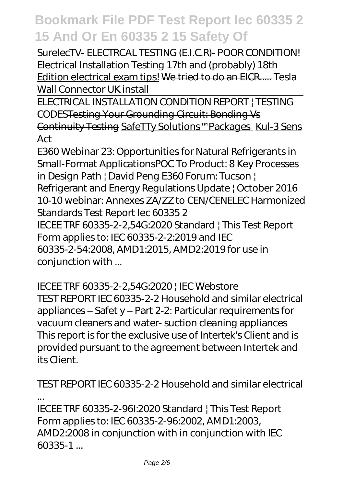SurelecTV- ELECTRCAL TESTING (E.I.C.R)- POOR CONDITION! Electrical Installation Testing 17th and (probably) 18th Edition electrical exam tips! We tried to do an EICR..... *Tesla Wall Connector UK install*

ELECTRICAL INSTALLATION CONDITION REPORT | TESTING CODESTesting Your Grounding Circuit: Bonding Vs Continuity Testing SafeTTy Solutions™ Packages Kul-3 Sens Act

E360 Webinar 23: Opportunities for Natural Refrigerants in Small-Format Applications*POC To Product: 8 Key Processes in Design Path | David Peng* E360 Forum: Tucson | Refrigerant and Energy Regulations Update | October 2016 10-10 webinar: Annexes ZA/ZZ to CEN/CENELEC Harmonized Standards Test Report Iec 60335 2 IECEE TRF 60335-2-2,54G:2020 Standard | This Test Report Form applies to: IEC 60335-2-2:2019 and IEC 60335-2-54:2008, AMD1:2015, AMD2:2019 for use in conjunction with ...

IECEE TRF 60335-2-2,54G:2020 | IEC Webstore TEST REPORT IEC 60335-2-2 Household and similar electrical appliances – Safet y – Part 2-2: Particular requirements for vacuum cleaners and water- suction cleaning appliances This report is for the exclusive use of Intertek's Client and is provided pursuant to the agreement between Intertek and its Client.

TEST REPORT IEC 60335-2-2 Household and similar electrical ...

IECEE TRF 60335-2-96I:2020 Standard | This Test Report Form applies to: IEC 60335-2-96:2002, AMD1:2003, AMD2:2008 in conjunction with in conjunction with IEC 60335-1 ...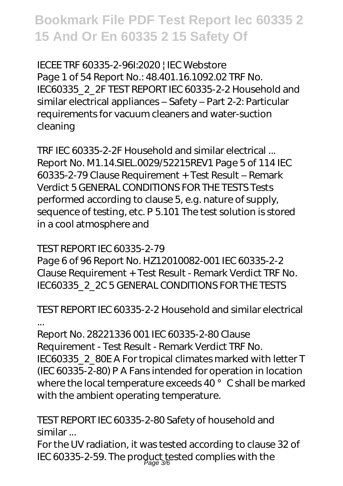IECEE TRF 60335-2-96I:2020 | IEC Webstore Page 1 of 54 Report No.: 48.401.16.1092.02 TRF No. IEC60335\_2\_2F TEST REPORT IEC 60335-2-2 Household and similar electrical appliances – Safety – Part 2-2: Particular requirements for vacuum cleaners and water-suction cleaning

TRF IEC 60335-2-2F Household and similar electrical ... Report No. M1.14.SIEL.0029/52215REV1 Page 5 of 114 IEC 60335-2-79 Clause Requirement + Test Result – Remark Verdict 5 GENERAL CONDITIONS FOR THE TESTS Tests performed according to clause 5, e.g. nature of supply, sequence of testing, etc. P 5.101 The test solution is stored in a cool atmosphere and

TEST REPORT IEC 60335-2-79

Page 6 of 96 Report No. HZ12010082-001 IEC 60335-2-2 Clause Requirement + Test Result - Remark Verdict TRF No. IEC60335\_2\_2C 5 GENERAL CONDITIONS FOR THE TESTS

TEST REPORT IEC 60335-2-2 Household and similar electrical ...

Report No. 28221336 001 IEC 60335-2-80 Clause Requirement - Test Result - Remark Verdict TRF No. IEC60335\_2\_80E A For tropical climates marked with letter T (IEC 60335-2-80) P A Fans intended for operation in location where the local temperature exceeds 40° C shall be marked with the ambient operating temperature.

TEST REPORT IEC 60335-2-80 Safety of household and similar ...

For the UV radiation, it was tested according to clause 32 of IEC 60335-2-59. The product tested complies with the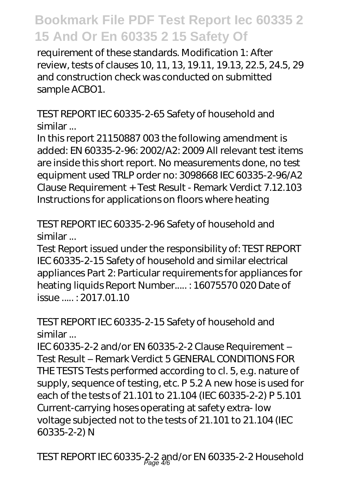requirement of these standards. Modification 1: After review, tests of clauses 10, 11, 13, 19.11, 19.13, 22.5, 24.5, 29 and construction check was conducted on submitted sample ACBO1.

TEST REPORT IEC 60335-2-65 Safety of household and similar ...

In this report 21150887 003 the following amendment is added: EN 60335-2-96: 2002/A2: 2009 All relevant test items are inside this short report. No measurements done, no test equipment used TRLP order no: 3098668 IEC 60335-2-96/A2 Clause Requirement + Test Result - Remark Verdict 7.12.103 Instructions for applications on floors where heating

TEST REPORT IEC 60335-2-96 Safety of household and similar ...

Test Report issued under the responsibility of: TEST REPORT IEC 60335-2-15 Safety of household and similar electrical appliances Part 2: Particular requirements for appliances for heating liquids Report Number..... : 16075570 020 Date of issue ..... : 2017.01.10

TEST REPORT IEC 60335-2-15 Safety of household and similar ...

IEC 60335-2-2 and/or EN 60335-2-2 Clause Requirement – Test Result – Remark Verdict 5 GENERAL CONDITIONS FOR THE TESTS Tests performed according to cl. 5, e.g. nature of supply, sequence of testing, etc. P 5.2 A new hose is used for each of the tests of 21.101 to 21.104 (IEC 60335-2-2) P 5.101 Current-carrying hoses operating at safety extra- low voltage subjected not to the tests of 21.101 to 21.104 (IEC 60335-2-2) N

TEST REPORT IEC 60335-2-2 and/or EN 60335-2-2 Household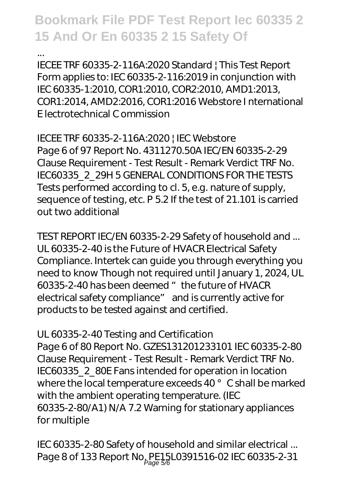... IECEE TRF 60335-2-116A:2020 Standard | This Test Report Form applies to: IEC 60335-2-116:2019 in conjunction with IEC 60335-1:2010, COR1:2010, COR2:2010, AMD1:2013, COR1:2014, AMD2:2016, COR1:2016 Webstore I nternational E lectrotechnical C ommission

IECEE TRF 60335-2-116A:2020 | IEC Webstore Page 6 of 97 Report No. 4311270.50A IEC/EN 60335-2-29 Clause Requirement - Test Result - Remark Verdict TRF No. IEC60335\_2\_29H 5 GENERAL CONDITIONS FOR THE TESTS Tests performed according to cl. 5, e.g. nature of supply, sequence of testing, etc. P 5.2 If the test of 21.101 is carried out two additional

TEST REPORT IEC/EN 60335-2-29 Safety of household and ... UL 60335-2-40 is the Future of HVACR Electrical Safety Compliance. Intertek can guide you through everything you need to know Though not required until January 1, 2024, UL 60335-2-40 has been deemed "the future of HVACR electrical safety compliance" and is currently active for products to be tested against and certified.

UL 60335-2-40 Testing and Certification Page 6 of 80 Report No. GZES131201233101 IEC 60335-2-80 Clause Requirement - Test Result - Remark Verdict TRF No. IEC60335\_2\_80E Fans intended for operation in location where the local temperature exceeds 40° C shall be marked with the ambient operating temperature. (IEC 60335-2-80/A1) N/A 7.2 Warning for stationary appliances for multiple

IEC 60335-2-80 Safety of household and similar electrical ... Page 8 of 133 Report No<sub>, Page 5/8</sub>L0391516-02 IEC 60335-2-31